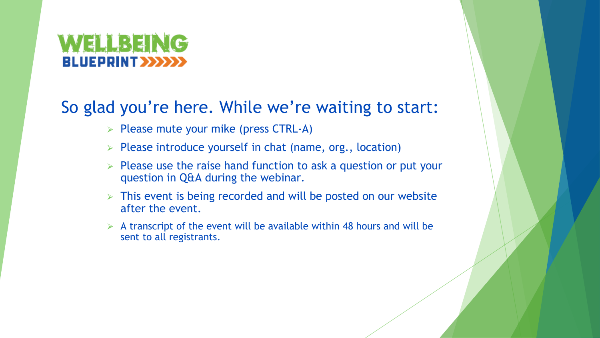#### VELLBEII VG **UEPRINT >>>>**

### So glad you're here. While we're waiting to start:

- $\triangleright$  Please mute your mike (press CTRL-A)
- $\triangleright$  Please introduce yourself in chat (name, org., location)
- $\triangleright$  Please use the raise hand function to ask a question or put your question in Q&A during the webinar.
- $\triangleright$  This event is being recorded and will be posted on our website after the event.
- $\triangleright$  A transcript of the event will be available within 48 hours and will be sent to all registrants.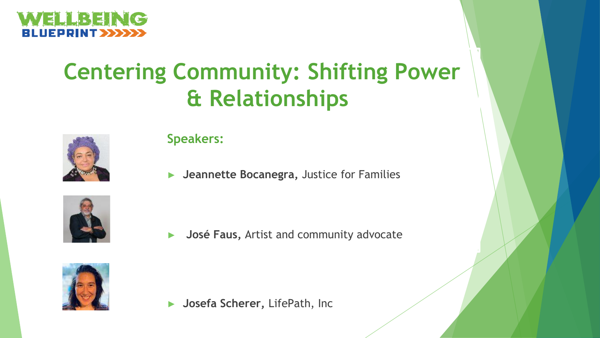

# **Centering Community: Shifting Power & Relationships**



**Speakers:**

► **Jeannette Bocanegra,** Justice for Families



► **José Faus,** Artist and community advocate



► **Josefa Scherer,** LifePath, Inc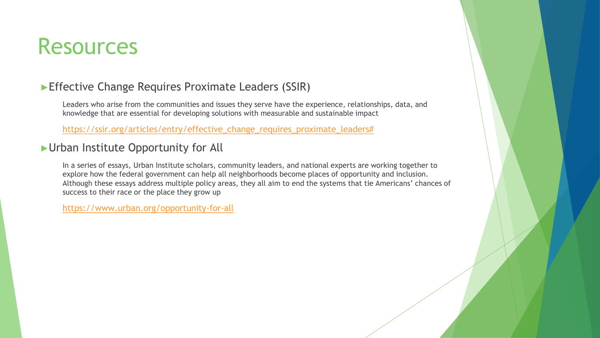## Resources

#### ►Effective Change Requires Proximate Leaders (SSIR)

Leaders who arise from the communities and issues they serve have the experience, relationships, data, and knowledge that are essential for developing solutions with measurable and sustainable impact

[https://ssir.org/articles/entry/effective\\_change\\_requires\\_proximate\\_leaders#](https://ssir.org/articles/entry/effective_change_requires_proximate_leaders)

#### ►Urban Institute Opportunity for All

In a series of essays, Urban Institute scholars, community leaders, and national experts are working together to explore how the federal government can help all neighborhoods become places of opportunity and inclusion. Although these essays address multiple policy areas, they all aim to end the systems that tie Americans' chances of success to their race or the place they grow up

<https://www.urban.org/opportunity-for-all>